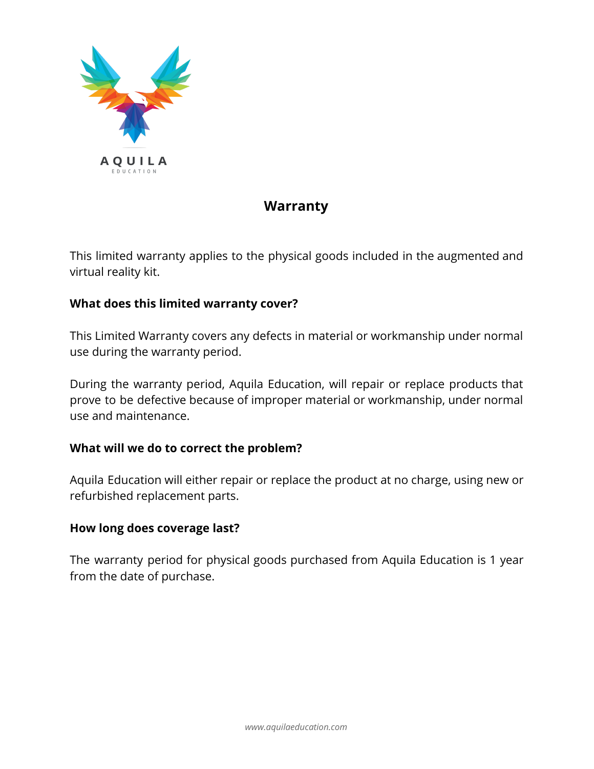

# **Warranty**

This limited warranty applies to the physical goods included in the augmented and virtual reality kit.

#### **What does this limited warranty cover?**

This Limited Warranty covers any defects in material or workmanship under normal use during the warranty period.

During the warranty period, Aquila Education, will repair or replace products that prove to be defective because of improper material or workmanship, under normal use and maintenance.

#### **What will we do to correct the problem?**

Aquila Education will either repair or replace the product at no charge, using new or refurbished replacement parts.

#### **How long does coverage last?**

The warranty period for physical goods purchased from Aquila Education is 1 year from the date of purchase.